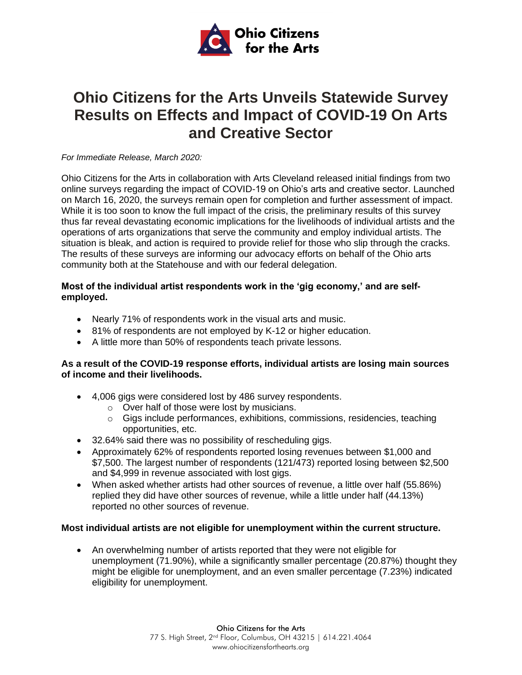

# **Ohio Citizens for the Arts Unveils Statewide Survey Results on Effects and Impact of COVID-19 On Arts and Creative Sector**

*For Immediate Release, March 2020:*

Ohio Citizens for the Arts in collaboration with Arts Cleveland released initial findings from two online surveys regarding the impact of COVID-19 on Ohio's arts and creative sector. Launched on March 16, 2020, the surveys remain open for completion and further assessment of impact. While it is too soon to know the full impact of the crisis, the preliminary results of this survey thus far reveal devastating economic implications for the livelihoods of individual artists and the operations of arts organizations that serve the community and employ individual artists. The situation is bleak, and action is required to provide relief for those who slip through the cracks. The results of these surveys are informing our advocacy efforts on behalf of the Ohio arts community both at the Statehouse and with our federal delegation.

### **Most of the individual artist respondents work in the 'gig economy,' and are selfemployed.**

- Nearly 71% of respondents work in the visual arts and music.
- 81% of respondents are not employed by K-12 or higher education.
- A little more than 50% of respondents teach private lessons.

#### **As a result of the COVID-19 response efforts, individual artists are losing main sources of income and their livelihoods.**

- 4,006 gigs were considered lost by 486 survey respondents.
	- o Over half of those were lost by musicians.
	- $\circ$  Gigs include performances, exhibitions, commissions, residencies, teaching opportunities, etc.
- 32.64% said there was no possibility of rescheduling gigs.
- Approximately 62% of respondents reported losing revenues between \$1,000 and \$7,500. The largest number of respondents (121/473) reported losing between \$2,500 and \$4,999 in revenue associated with lost gigs.
- When asked whether artists had other sources of revenue, a little over half (55.86%) replied they did have other sources of revenue, while a little under half (44.13%) reported no other sources of revenue.

### **Most individual artists are not eligible for unemployment within the current structure.**

• An overwhelming number of artists reported that they were not eligible for unemployment (71.90%), while a significantly smaller percentage (20.87%) thought they might be eligible for unemployment, and an even smaller percentage (7.23%) indicated eligibility for unemployment.